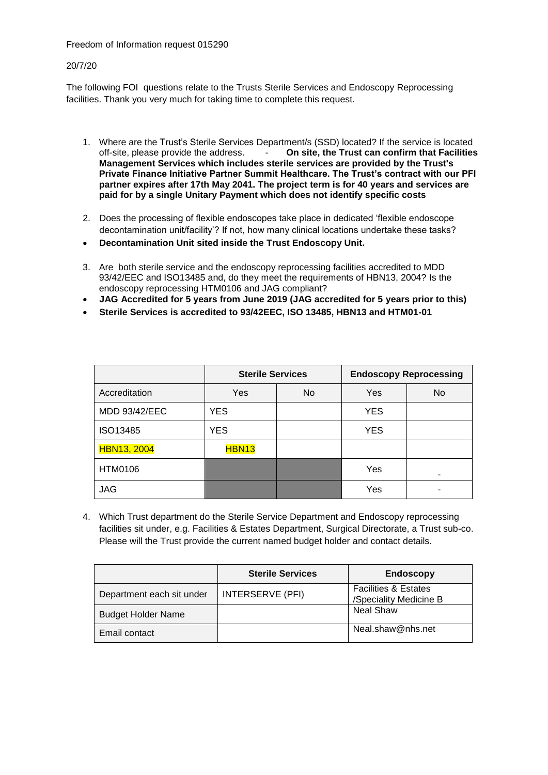### Freedom of Information request 015290

### 20/7/20

The following FOI questions relate to the Trusts Sterile Services and Endoscopy Reprocessing facilities. Thank you very much for taking time to complete this request.

- 1. Where are the Trust's Sterile Services Department/s (SSD) located? If the service is located off-site, please provide the address. **Do site, the Trust can confirm that Facilities On site, the Trust can confirm that Facilities Management Services which includes sterile services are provided by the Trust's Private Finance Initiative Partner Summit Healthcare. The Trust's contract with our PFI partner expires after 17th May 2041. The project term is for 40 years and services are paid for by a single Unitary Payment which does not identify specific costs**
- 2. Does the processing of flexible endoscopes take place in dedicated 'flexible endoscope decontamination unit/facility'? If not, how many clinical locations undertake these tasks?
- **Decontamination Unit sited inside the Trust Endoscopy Unit.**
- 3. Are both sterile service and the endoscopy reprocessing facilities accredited to MDD 93/42/EEC and ISO13485 and, do they meet the requirements of HBN13, 2004? Is the endoscopy reprocessing HTM0106 and JAG compliant?
- **JAG Accredited for 5 years from June 2019 (JAG accredited for 5 years prior to this)**
- **Sterile Services is accredited to 93/42EEC, ISO 13485, HBN13 and HTM01-01**

|                    | <b>Sterile Services</b> |     |            | <b>Endoscopy Reprocessing</b> |
|--------------------|-------------------------|-----|------------|-------------------------------|
| Accreditation      | Yes                     | No. | <b>Yes</b> | No                            |
| MDD 93/42/EEC      | <b>YES</b>              |     | <b>YES</b> |                               |
| ISO13485           | <b>YES</b>              |     | <b>YES</b> |                               |
| <b>HBN13, 2004</b> | <b>HBN13</b>            |     |            |                               |
| HTM0106            |                         |     | Yes        |                               |
| <b>JAG</b>         |                         |     | Yes        |                               |

4. Which Trust department do the Sterile Service Department and Endoscopy reprocessing facilities sit under, e.g. Facilities & Estates Department, Surgical Directorate, a Trust sub-co. Please will the Trust provide the current named budget holder and contact details.

|                           | <b>Sterile Services</b> | <b>Endoscopy</b>                                          |
|---------------------------|-------------------------|-----------------------------------------------------------|
| Department each sit under | <b>INTERSERVE (PFI)</b> | <b>Facilities &amp; Estates</b><br>/Speciality Medicine B |
| <b>Budget Holder Name</b> |                         | <b>Neal Shaw</b>                                          |
| Email contact             |                         | Neal.shaw@nhs.net                                         |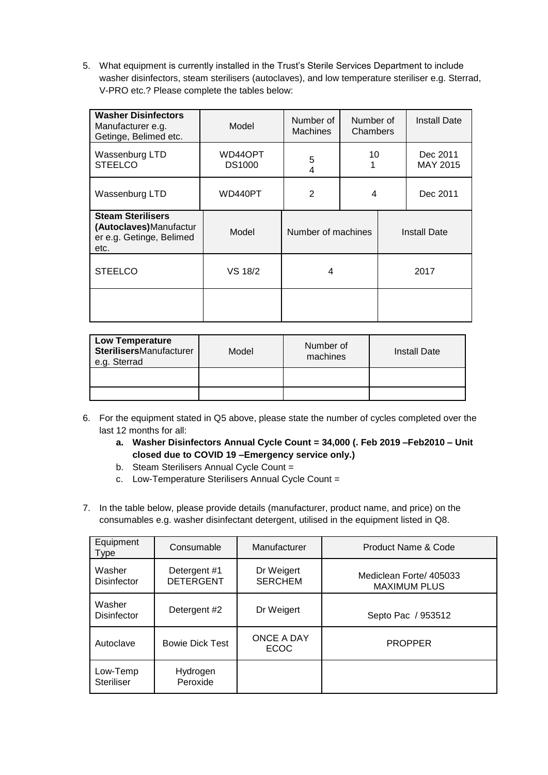5. What equipment is currently installed in the Trust's Sterile Services Department to include washer disinfectors, steam sterilisers (autoclaves), and low temperature steriliser e.g. Sterrad, V-PRO etc.? Please complete the tables below:

| <b>Washer Disinfectors</b><br>Manufacturer e.g.<br>Getinge, Belimed etc.               | Number of<br>Model<br><b>Machines</b> |                     | Number of<br>Chambers |  | <b>Install Date</b>  |
|----------------------------------------------------------------------------------------|---------------------------------------|---------------------|-----------------------|--|----------------------|
| Wassenburg LTD<br><b>STEELCO</b>                                                       | WD44OPT<br><b>DS1000</b>              | 10<br>5<br>4        |                       |  | Dec 2011<br>MAY 2015 |
| Wassenburg LTD                                                                         | WD440PT                               | $\overline{2}$<br>4 |                       |  | Dec 2011             |
| <b>Steam Sterilisers</b><br>(Autoclaves)Manufactur<br>er e.g. Getinge, Belimed<br>etc. | Model                                 | Number of machines  |                       |  | <b>Install Date</b>  |
| <b>STEELCO</b>                                                                         | <b>VS 18/2</b>                        | 4                   |                       |  | 2017                 |
|                                                                                        |                                       |                     |                       |  |                      |

| <b>Low Temperature</b><br><b>SterilisersManufacturer</b><br>e.g. Sterrad | Model | Number of<br>machines | <b>Install Date</b> |
|--------------------------------------------------------------------------|-------|-----------------------|---------------------|
|                                                                          |       |                       |                     |

- 6. For the equipment stated in Q5 above, please state the number of cycles completed over the last 12 months for all:
	- **a. Washer Disinfectors Annual Cycle Count = 34,000 (. Feb 2019 –Feb2010 – Unit closed due to COVID 19 –Emergency service only.)**
	- b. Steam Sterilisers Annual Cycle Count =
	- c. Low-Temperature Sterilisers Annual Cycle Count =
- 7. In the table below, please provide details (manufacturer, product name, and price) on the consumables e.g. washer disinfectant detergent, utilised in the equipment listed in Q8.

| Equipment<br>Type             | Consumable                       | Manufacturer                 | Product Name & Code                            |
|-------------------------------|----------------------------------|------------------------------|------------------------------------------------|
| Washer<br><b>Disinfector</b>  | Detergent #1<br><b>DETERGENT</b> | Dr Weigert<br><b>SERCHEM</b> | Mediclean Forte/ 405033<br><b>MAXIMUM PLUS</b> |
| Washer<br><b>Disinfector</b>  | Detergent #2                     | Dr Weigert                   | Septo Pac / 953512                             |
| Autoclave                     | <b>Bowie Dick Test</b>           | ONCE A DAY<br><b>ECOC</b>    | <b>PROPPER</b>                                 |
| Low-Temp<br><b>Steriliser</b> | Hydrogen<br>Peroxide             |                              |                                                |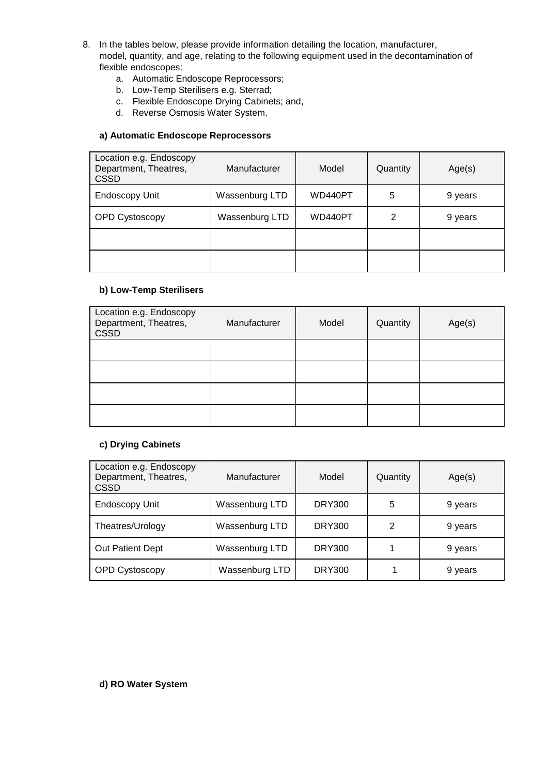- 8. In the tables below, please provide information detailing the location, manufacturer, model, quantity, and age, relating to the following equipment used in the decontamination of flexible endoscopes:
	- a. Automatic Endoscope Reprocessors;
	- b. Low-Temp Sterilisers e.g. Sterrad;
	- c. Flexible Endoscope Drying Cabinets; and,
	- d. Reverse Osmosis Water System.

## **a) Automatic Endoscope Reprocessors**

| Location e.g. Endoscopy<br>Department, Theatres,<br><b>CSSD</b> | Manufacturer   | Model   | Quantity | Age(s)  |
|-----------------------------------------------------------------|----------------|---------|----------|---------|
| <b>Endoscopy Unit</b>                                           | Wassenburg LTD | WD440PT | 5        | 9 years |
| OPD Cystoscopy                                                  | Wassenburg LTD | WD440PT | 2        | 9 years |
|                                                                 |                |         |          |         |
|                                                                 |                |         |          |         |

# **b) Low-Temp Sterilisers**

| Location e.g. Endoscopy<br>Department, Theatres,<br><b>CSSD</b> | Manufacturer | Model | Quantity | Age(s) |
|-----------------------------------------------------------------|--------------|-------|----------|--------|
|                                                                 |              |       |          |        |
|                                                                 |              |       |          |        |
|                                                                 |              |       |          |        |
|                                                                 |              |       |          |        |

### **c) Drying Cabinets**

| Location e.g. Endoscopy<br>Department, Theatres,<br><b>CSSD</b> | Manufacturer   | Model         | Quantity | Age(s)  |
|-----------------------------------------------------------------|----------------|---------------|----------|---------|
| <b>Endoscopy Unit</b>                                           | Wassenburg LTD | <b>DRY300</b> | 5        | 9 years |
| Theatres/Urology                                                | Wassenburg LTD | <b>DRY300</b> | 2        | 9 years |
| Out Patient Dept                                                | Wassenburg LTD | <b>DRY300</b> |          | 9 years |
| <b>OPD Cystoscopy</b>                                           | Wassenburg LTD | <b>DRY300</b> |          | 9 years |